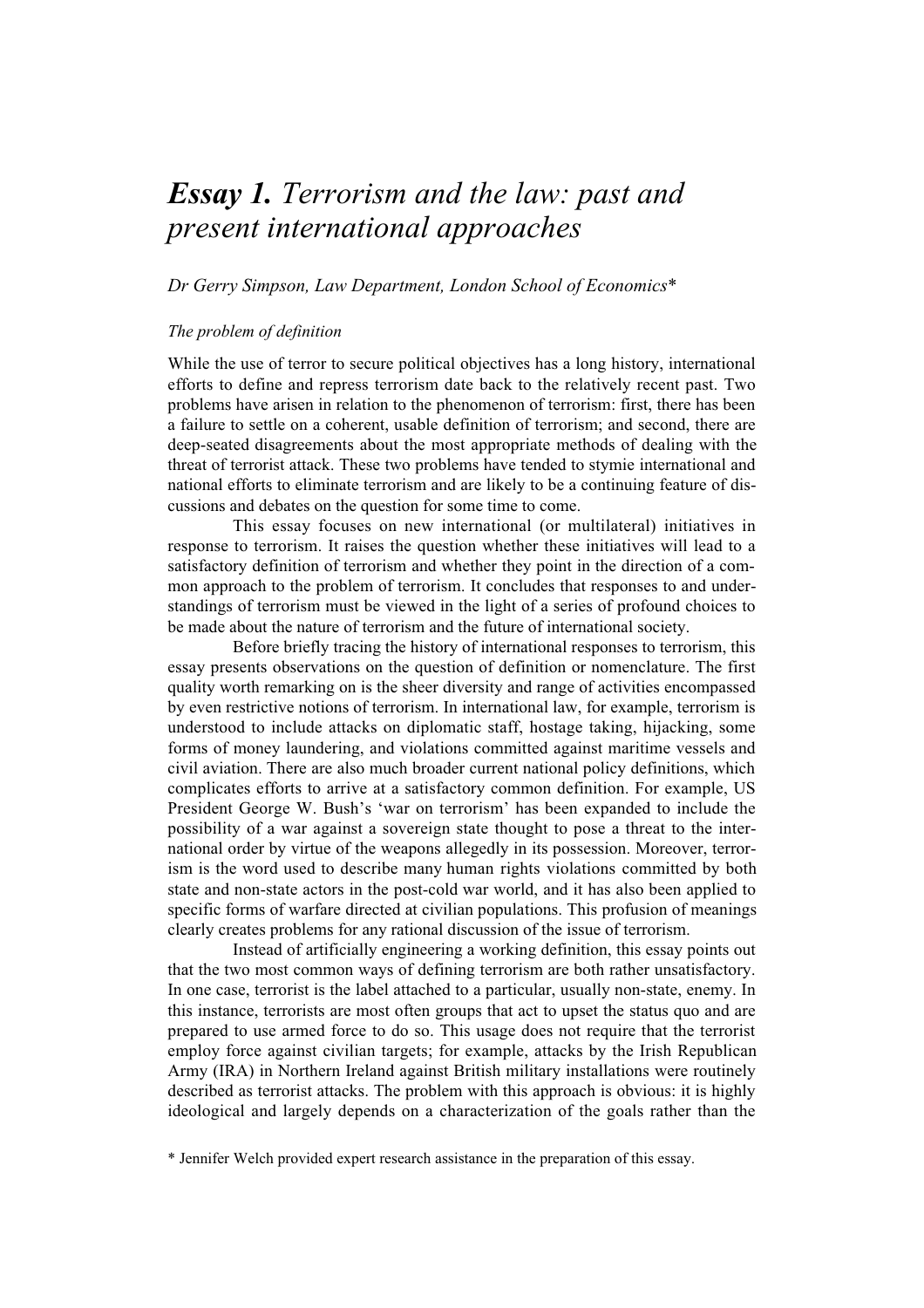# *Essay 1. Terrorism and the law: past and present international approaches*

# *Dr Gerry Simpson, Law Department, London School of Economics\**

# *The problem of definition*

While the use of terror to secure political objectives has a long history, international efforts to define and repress terrorism date back to the relatively recent past. Two problems have arisen in relation to the phenomenon of terrorism: first, there has been a failure to settle on a coherent, usable definition of terrorism; and second, there are deep-seated disagreements about the most appropriate methods of dealing with the threat of terrorist attack. These two problems have tended to stymie international and national efforts to eliminate terrorism and are likely to be a continuing feature of discussions and debates on the question for some time to come.

This essay focuses on new international (or multilateral) initiatives in response to terrorism. It raises the question whether these initiatives will lead to a satisfactory definition of terrorism and whether they point in the direction of a common approach to the problem of terrorism. It concludes that responses to and understandings of terrorism must be viewed in the light of a series of profound choices to be made about the nature of terrorism and the future of international society.

Before briefly tracing the history of international responses to terrorism, this essay presents observations on the question of definition or nomenclature. The first quality worth remarking on is the sheer diversity and range of activities encompassed by even restrictive notions of terrorism. In international law, for example, terrorism is understood to include attacks on diplomatic staff, hostage taking, hijacking, some forms of money laundering, and violations committed against maritime vessels and civil aviation. There are also much broader current national policy definitions, which complicates efforts to arrive at a satisfactory common definition. For example, US President George W. Bush's 'war on terrorism' has been expanded to include the possibility of a war against a sovereign state thought to pose a threat to the international order by virtue of the weapons allegedly in its possession. Moreover, terrorism is the word used to describe many human rights violations committed by both state and non-state actors in the post-cold war world, and it has also been applied to specific forms of warfare directed at civilian populations. This profusion of meanings clearly creates problems for any rational discussion of the issue of terrorism.

Instead of artificially engineering a working definition, this essay points out that the two most common ways of defining terrorism are both rather unsatisfactory. In one case, terrorist is the label attached to a particular, usually non-state, enemy. In this instance, terrorists are most often groups that act to upset the status quo and are prepared to use armed force to do so. This usage does not require that the terrorist employ force against civilian targets; for example, attacks by the Irish Republican Army (IRA) in Northern Ireland against British military installations were routinely described as terrorist attacks. The problem with this approach is obvious: it is highly ideological and largely depends on a characterization of the goals rather than the

\* Jennifer Welch provided expert research assistance in the preparation of this essay.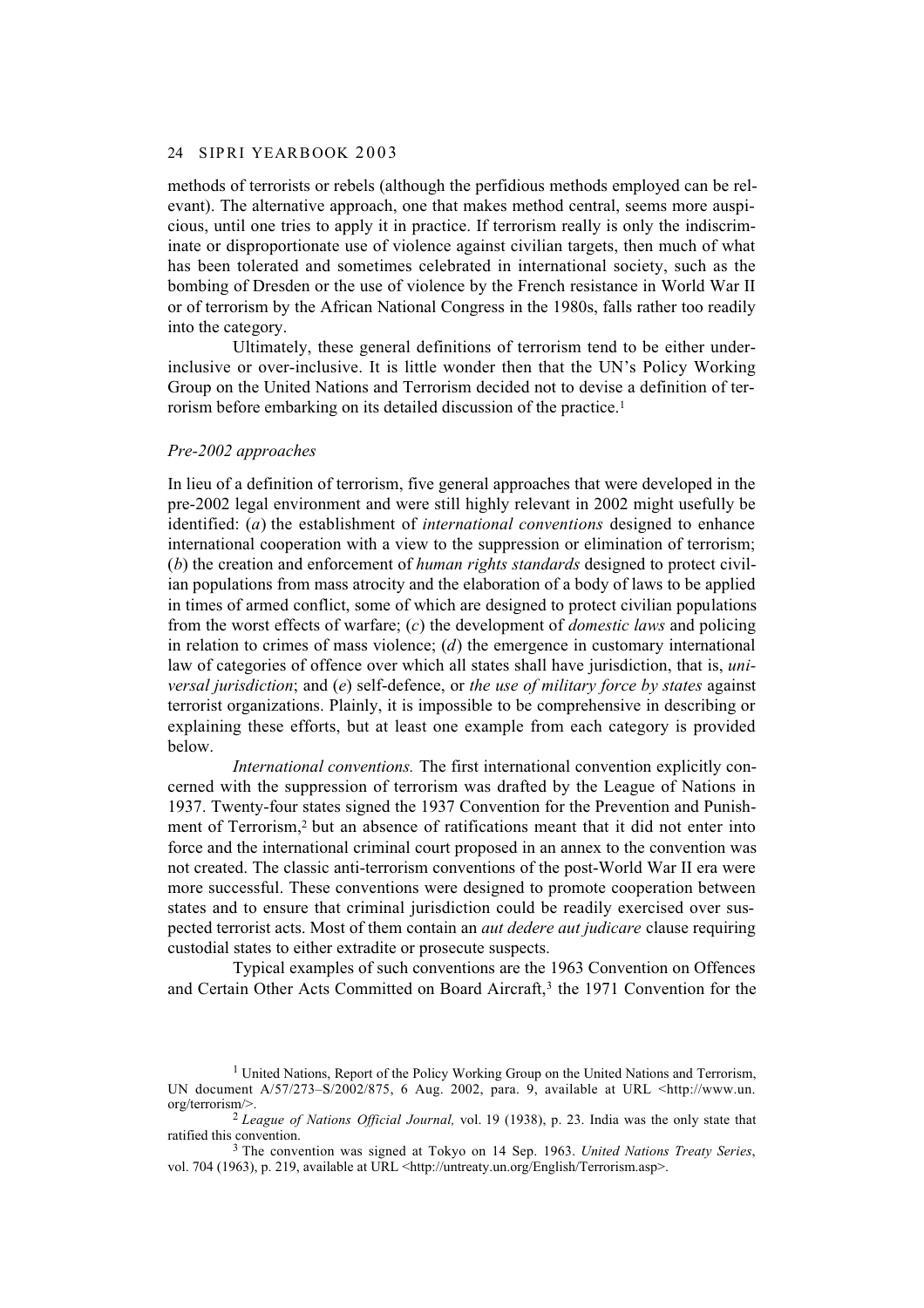#### 24 SIPRI YEARBOOK 2003

methods of terrorists or rebels (although the perfidious methods employed can be relevant). The alternative approach, one that makes method central, seems more auspicious, until one tries to apply it in practice. If terrorism really is only the indiscriminate or disproportionate use of violence against civilian targets, then much of what has been tolerated and sometimes celebrated in international society, such as the bombing of Dresden or the use of violence by the French resistance in World War II or of terrorism by the African National Congress in the 1980s, falls rather too readily into the category.

Ultimately, these general definitions of terrorism tend to be either underinclusive or over-inclusive. It is little wonder then that the UN's Policy Working Group on the United Nations and Terrorism decided not to devise a definition of terrorism before embarking on its detailed discussion of the practice.1

#### *Pre-2002 approaches*

In lieu of a definition of terrorism, five general approaches that were developed in the pre-2002 legal environment and were still highly relevant in 2002 might usefully be identified: (*a*) the establishment of *international conventions* designed to enhance international cooperation with a view to the suppression or elimination of terrorism; (*b*) the creation and enforcement of *human rights standards* designed to protect civilian populations from mass atrocity and the elaboration of a body of laws to be applied in times of armed conflict, some of which are designed to protect civilian populations from the worst effects of warfare; (*c*) the development of *domestic laws* and policing in relation to crimes of mass violence; (*d*) the emergence in customary international law of categories of offence over which all states shall have jurisdiction, that is, *universal jurisdiction*; and (*e*) self-defence, or *the use of military force by states* against terrorist organizations. Plainly, it is impossible to be comprehensive in describing or explaining these efforts, but at least one example from each category is provided below.

*International conventions.* The first international convention explicitly concerned with the suppression of terrorism was drafted by the League of Nations in 1937. Twenty-four states signed the 1937 Convention for the Prevention and Punishment of Terrorism,2 but an absence of ratifications meant that it did not enter into force and the international criminal court proposed in an annex to the convention was not created. The classic anti-terrorism conventions of the post-World War II era were more successful. These conventions were designed to promote cooperation between states and to ensure that criminal jurisdiction could be readily exercised over suspected terrorist acts. Most of them contain an *aut dedere aut judicare* clause requiring custodial states to either extradite or prosecute suspects.

Typical examples of such conventions are the 1963 Convention on Offences and Certain Other Acts Committed on Board Aircraft,3 the 1971 Convention for the

<sup>&</sup>lt;sup>1</sup> United Nations, Report of the Policy Working Group on the United Nations and Terrorism, UN document A/57/273–S/2002/875, 6 Aug. 2002, para. 9, available at URL <http://www.un. org/terrorism/>.

<sup>2</sup>*League of Nations Official Journal,* vol. 19 (1938), p. 23. India was the only state that ratified this convention.

<sup>3</sup> The convention was signed at Tokyo on 14 Sep. 1963. *United Nations Treaty Series*, vol. 704 (1963), p. 219, available at URL <http://untreaty.un.org/English/Terrorism.asp>.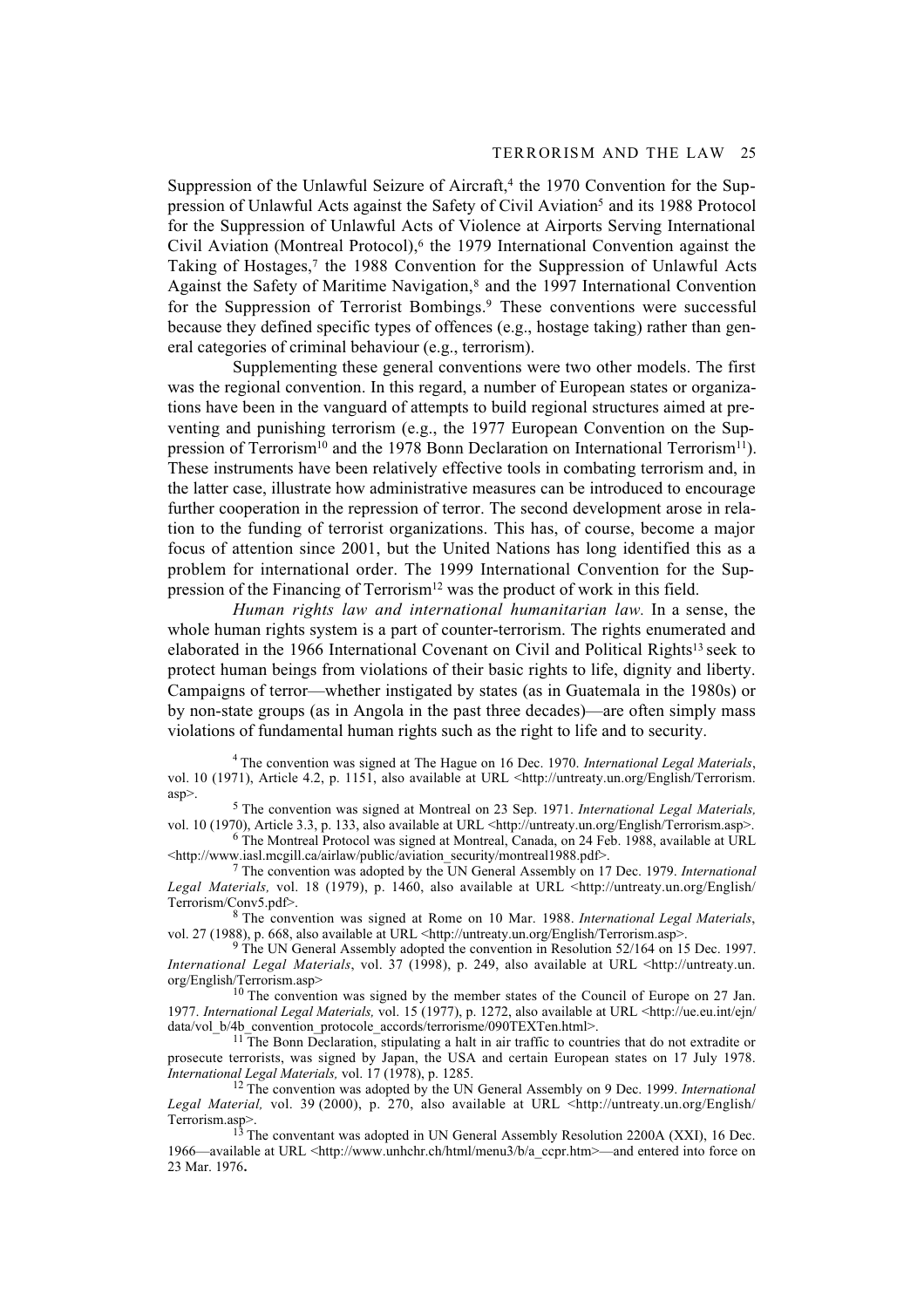#### TERRORISM AND THE LAW 25

Suppression of the Unlawful Seizure of Aircraft,<sup>4</sup> the 1970 Convention for the Suppression of Unlawful Acts against the Safety of Civil Aviation5 and its 1988 Protocol for the Suppression of Unlawful Acts of Violence at Airports Serving International Civil Aviation (Montreal Protocol),6 the 1979 International Convention against the Taking of Hostages,<sup>7</sup> the 1988 Convention for the Suppression of Unlawful Acts Against the Safety of Maritime Navigation,8 and the 1997 International Convention for the Suppression of Terrorist Bombings.<sup>9</sup> These conventions were successful because they defined specific types of offences (e.g., hostage taking) rather than general categories of criminal behaviour (e.g., terrorism).

Supplementing these general conventions were two other models. The first was the regional convention. In this regard, a number of European states or organizations have been in the vanguard of attempts to build regional structures aimed at preventing and punishing terrorism (e.g., the 1977 European Convention on the Suppression of Terrorism<sup>10</sup> and the 1978 Bonn Declaration on International Terrorism<sup>11</sup>). These instruments have been relatively effective tools in combating terrorism and, in the latter case, illustrate how administrative measures can be introduced to encourage further cooperation in the repression of terror. The second development arose in relation to the funding of terrorist organizations. This has, of course, become a major focus of attention since 2001, but the United Nations has long identified this as a problem for international order. The 1999 International Convention for the Suppression of the Financing of Terrorism12 was the product of work in this field.

*Human rights law and international humanitarian law.* In a sense, the whole human rights system is a part of counter-terrorism. The rights enumerated and elaborated in the 1966 International Covenant on Civil and Political Rights13 seek to protect human beings from violations of their basic rights to life, dignity and liberty. Campaigns of terror—whether instigated by states (as in Guatemala in the 1980s) or by non-state groups (as in Angola in the past three decades)—are often simply mass violations of fundamental human rights such as the right to life and to security.

<sup>4</sup> The convention was signed at The Hague on 16 Dec. 1970. *International Legal Materials*, vol. 10 (1971), Article 4.2, p. 1151, also available at URL <http://untreaty.un.org/English/Terrorism. asp>.

5 The convention was signed at Montreal on 23 Sep. 1971. *International Legal Materials,* vol. 10 (1970), Article 3.3, p. 133, also available at URL <http://untreaty.un.org/English/Terrorism.asp>.

6 The Montreal Protocol was signed at Montreal, Canada, on 24 Feb. 1988, available at URL <http://www.iasl.mcgill.ca/airlaw/public/aviation\_security/montreal1988.pdf>.

7 The convention was adopted by the UN General Assembly on 17 Dec. 1979. *International* Legal Materials, vol. 18 (1979), p. 1460, also available at URL <http://untreaty.un.org/English/ Terrorism/Conv5.pdf>.

8 The convention was signed at Rome on 10 Mar. 1988. *International Legal Materials*, vol. 27 (1988), p. 668, also available at URL <http://untreaty.un.org/English/Terrorism.asp>.

<sup>9</sup> The UN General Assembly adopted the convention in Resolution 52/164 on 15 Dec. 1997. *International Legal Materials*, vol. 37 (1998), p. 249, also available at URL <http://untreaty.un. org/English/Terrorism.asp>

<sup>10</sup> The convention was signed by the member states of the Council of Europe on 27 Jan. 1977. *International Legal Materials,* vol. 15 (1977), p. 1272, also available at URL <http://ue.eu.int/ejn/ data/vol\_b/4b\_convention\_protocole\_accords/terrorisme/090TEXTen.html>.

<sup>11</sup>The Bonn Declaration, stipulating a halt in air traffic to countries that do not extradite or prosecute terrorists, was signed by Japan, the USA and certain European states on 17 July 1978. *International Legal Materials,* vol. 17 (1978), p. 1285.

12 The convention was adopted by the UN General Assembly on 9 Dec. 1999. *International Legal Material,* vol. 39 (2000), p. 270, also available at URL <http://untreaty.un.org/English/ Terrorism.asp>.

 $13$  The conventant was adopted in UN General Assembly Resolution 2200A (XXI), 16 Dec. 1966—available at URL <http://www.unhchr.ch/html/menu3/b/a\_ccpr.htm>—and entered into force on 23 Mar. 1976**.**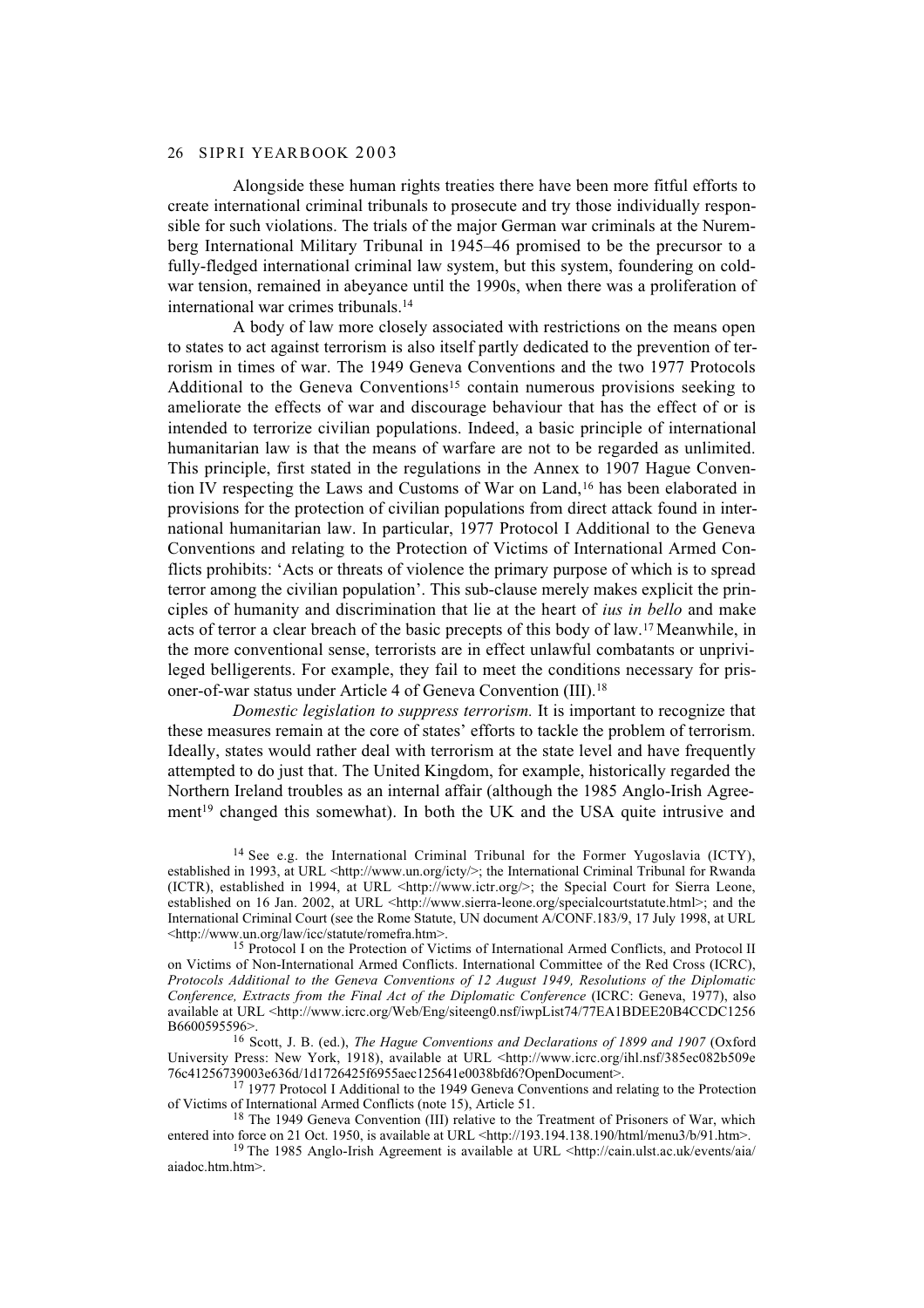#### 26 SIPRI YEARBOOK 2003

Alongside these human rights treaties there have been more fitful efforts to create international criminal tribunals to prosecute and try those individually responsible for such violations. The trials of the major German war criminals at the Nuremberg International Military Tribunal in 1945–46 promised to be the precursor to a fully-fledged international criminal law system, but this system, foundering on coldwar tension, remained in abeyance until the 1990s, when there was a proliferation of international war crimes tribunals.14

A body of law more closely associated with restrictions on the means open to states to act against terrorism is also itself partly dedicated to the prevention of terrorism in times of war. The 1949 Geneva Conventions and the two 1977 Protocols Additional to the Geneva Conventions<sup>15</sup> contain numerous provisions seeking to ameliorate the effects of war and discourage behaviour that has the effect of or is intended to terrorize civilian populations. Indeed, a basic principle of international humanitarian law is that the means of warfare are not to be regarded as unlimited. This principle, first stated in the regulations in the Annex to 1907 Hague Convention IV respecting the Laws and Customs of War on Land,16 has been elaborated in provisions for the protection of civilian populations from direct attack found in international humanitarian law. In particular, 1977 Protocol I Additional to the Geneva Conventions and relating to the Protection of Victims of International Armed Conflicts prohibits: 'Acts or threats of violence the primary purpose of which is to spread terror among the civilian population'. This sub-clause merely makes explicit the principles of humanity and discrimination that lie at the heart of *ius in bello* and make acts of terror a clear breach of the basic precepts of this body of law.17 Meanwhile, in the more conventional sense, terrorists are in effect unlawful combatants or unprivileged belligerents. For example, they fail to meet the conditions necessary for prisoner-of-war status under Article 4 of Geneva Convention (III).18

*Domestic legislation to suppress terrorism.* It is important to recognize that these measures remain at the core of states' efforts to tackle the problem of terrorism. Ideally, states would rather deal with terrorism at the state level and have frequently attempted to do just that. The United Kingdom, for example, historically regarded the Northern Ireland troubles as an internal affair (although the 1985 Anglo-Irish Agreement<sup>19</sup> changed this somewhat). In both the UK and the USA quite intrusive and

<sup>14</sup> See e.g. the International Criminal Tribunal for the Former Yugoslavia (ICTY), established in 1993, at URL <http://www.un.org/icty/>; the International Criminal Tribunal for Rwanda (ICTR), established in 1994, at URL <http://www.ictr.org/>; the Special Court for Sierra Leone, established on 16 Jan. 2002, at URL <http://www.sierra-leone.org/specialcourtstatute.html>; and the International Criminal Court (see the Rome Statute, UN document A/CONF.183/9, 17 July 1998, at URL <http://www.un.org/law/icc/statute/romefra.htm>.

<sup>&</sup>lt;sup>15</sup> Protocol I on the Protection of Victims of International Armed Conflicts, and Protocol II on Victims of Non-International Armed Conflicts. International Committee of the Red Cross (ICRC), *Protocols Additional to the Geneva Conventions of 12 August 1949, Resolutions of the Diplomatic Conference, Extracts from the Final Act of the Diplomatic Conference* (ICRC: Geneva, 1977), also available at URL <http://www.icrc.org/Web/Eng/siteeng0.nsf/iwpList74/77EA1BDEE20B4CCDC1256 B6600595596>.

<sup>16</sup> Scott, J. B. (ed.), *The Hague Conventions and Declarations of 1899 and 1907* (Oxford University Press: New York, 1918), available at URL <http://www.icrc.org/ihl.nsf/385ec082b509e 76c41256739003e636d/1d1726425f6955aec125641e0038bfd6?OpenDocument>.

<sup>&</sup>lt;sup>17</sup> 1977 Protocol I Additional to the 1949 Geneva Conventions and relating to the Protection of Victims of International Armed Conflicts (note 15), Article 51.

<sup>&</sup>lt;sup>18</sup> The 1949 Geneva Convention (III) relative to the Treatment of Prisoners of War, which entered into force on 21 Oct. 1950, is available at URL <http://193.194.138.190/html/menu3/b/91.htm>.

<sup>&</sup>lt;sup>19</sup> The 1985 Anglo-Irish Agreement is available at URL <http://cain.ulst.ac.uk/events/aia/ aiadoc.htm.htm>.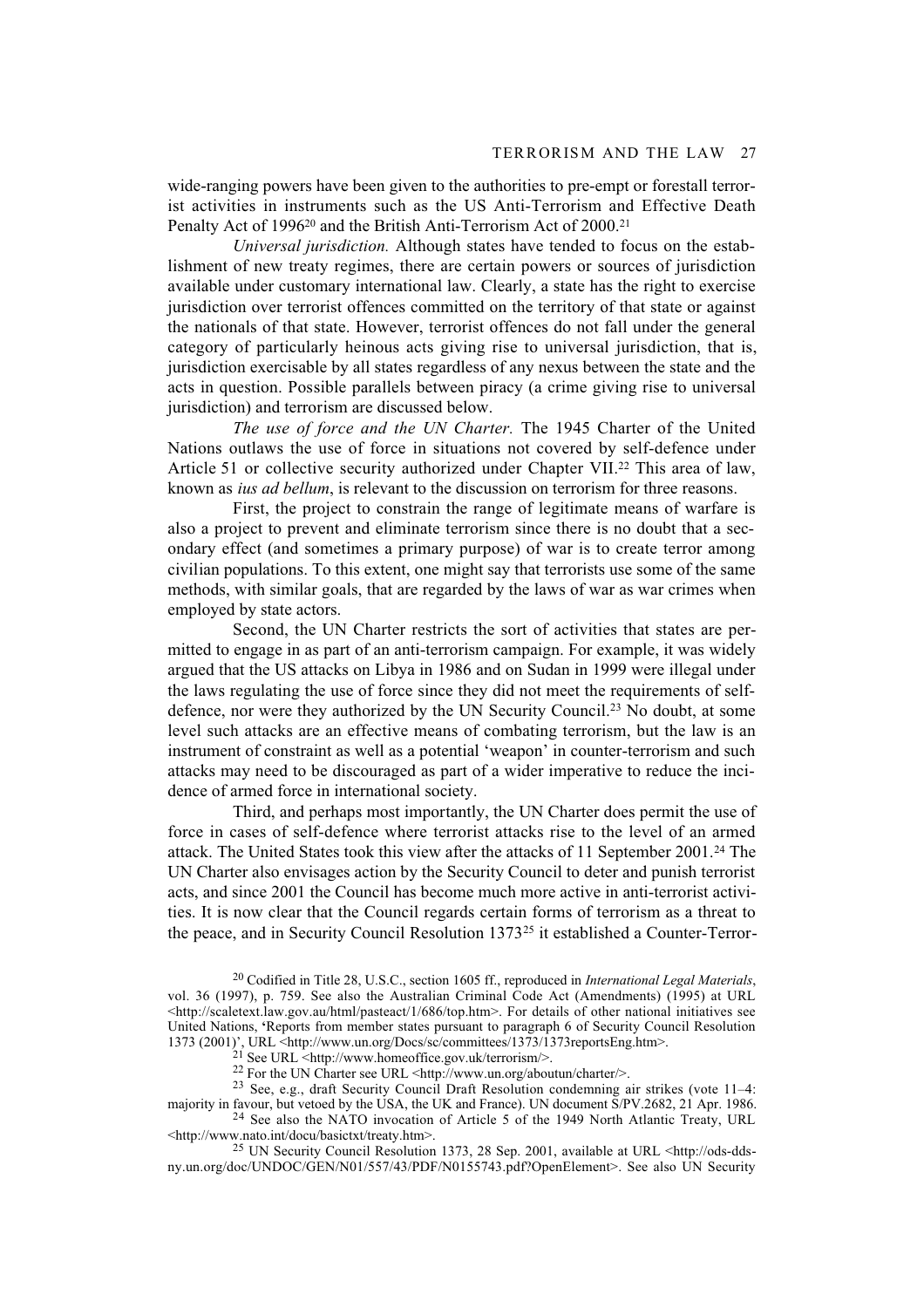wide-ranging powers have been given to the authorities to pre-empt or forestall terrorist activities in instruments such as the US Anti-Terrorism and Effective Death Penalty Act of 1996<sup>20</sup> and the British Anti-Terrorism Act of 2000.<sup>21</sup>

*Universal jurisdiction.* Although states have tended to focus on the establishment of new treaty regimes, there are certain powers or sources of jurisdiction available under customary international law. Clearly, a state has the right to exercise jurisdiction over terrorist offences committed on the territory of that state or against the nationals of that state. However, terrorist offences do not fall under the general category of particularly heinous acts giving rise to universal jurisdiction, that is, jurisdiction exercisable by all states regardless of any nexus between the state and the acts in question. Possible parallels between piracy (a crime giving rise to universal jurisdiction) and terrorism are discussed below.

*The use of force and the UN Charter.* The 1945 Charter of the United Nations outlaws the use of force in situations not covered by self-defence under Article 51 or collective security authorized under Chapter VII.<sup>22</sup> This area of law, known as *ius ad bellum*, is relevant to the discussion on terrorism for three reasons.

First, the project to constrain the range of legitimate means of warfare is also a project to prevent and eliminate terrorism since there is no doubt that a secondary effect (and sometimes a primary purpose) of war is to create terror among civilian populations. To this extent, one might say that terrorists use some of the same methods, with similar goals, that are regarded by the laws of war as war crimes when employed by state actors.

Second, the UN Charter restricts the sort of activities that states are permitted to engage in as part of an anti-terrorism campaign. For example, it was widely argued that the US attacks on Libya in 1986 and on Sudan in 1999 were illegal under the laws regulating the use of force since they did not meet the requirements of selfdefence, nor were they authorized by the UN Security Council.23 No doubt, at some level such attacks are an effective means of combating terrorism, but the law is an instrument of constraint as well as a potential 'weapon' in counter-terrorism and such attacks may need to be discouraged as part of a wider imperative to reduce the incidence of armed force in international society.

Third, and perhaps most importantly, the UN Charter does permit the use of force in cases of self-defence where terrorist attacks rise to the level of an armed attack. The United States took this view after the attacks of 11 September 2001.24 The UN Charter also envisages action by the Security Council to deter and punish terrorist acts, and since 2001 the Council has become much more active in anti-terrorist activities. It is now clear that the Council regards certain forms of terrorism as a threat to the peace, and in Security Council Resolution 1373<sup>25</sup> it established a Counter-Terror-

<sup>25</sup> UN Security Council Resolution 1373, 28 Sep. 2001, available at URL <http://ods-ddsny.un.org/doc/UNDOC/GEN/N01/557/43/PDF/N0155743.pdf?OpenElement>. See also UN Security

<sup>20</sup> Codified in Title 28, U.S.C., section 1605 ff., reproduced in *International Legal Materials*, vol. 36 (1997), p. 759. See also the Australian Criminal Code Act (Amendments) (1995) at URL  $\text{thtn:}/\text{scaletext.law.gov.au/html/pasteact/1/686/top.htm}$ . For details of other national initiatives see United Nations, **'**Reports from member states pursuant to paragraph 6 of Security Council Resolution 1373 (2001)', URL <http://www.un.org/Docs/sc/committees/1373/1373reportsEng.htm>.

<sup>21</sup> See URL <http://www.homeoffice.gov.uk/terrorism/>.

<sup>&</sup>lt;sup>22</sup> For the UN Charter see URL <http://www.un.org/aboutun/charter/>.

<sup>&</sup>lt;sup>23</sup> See, e.g., draft Security Council Draft Resolution condemning air strikes (vote 11–4: majority in favour, but vetoed by the USA, the UK and France). UN document S/PV.2682, 21 Apr. 1986.

<sup>24</sup> See also the NATO invocation of Article 5 of the 1949 North Atlantic Treaty, URL <http://www.nato.int/docu/basictxt/treaty.htm>.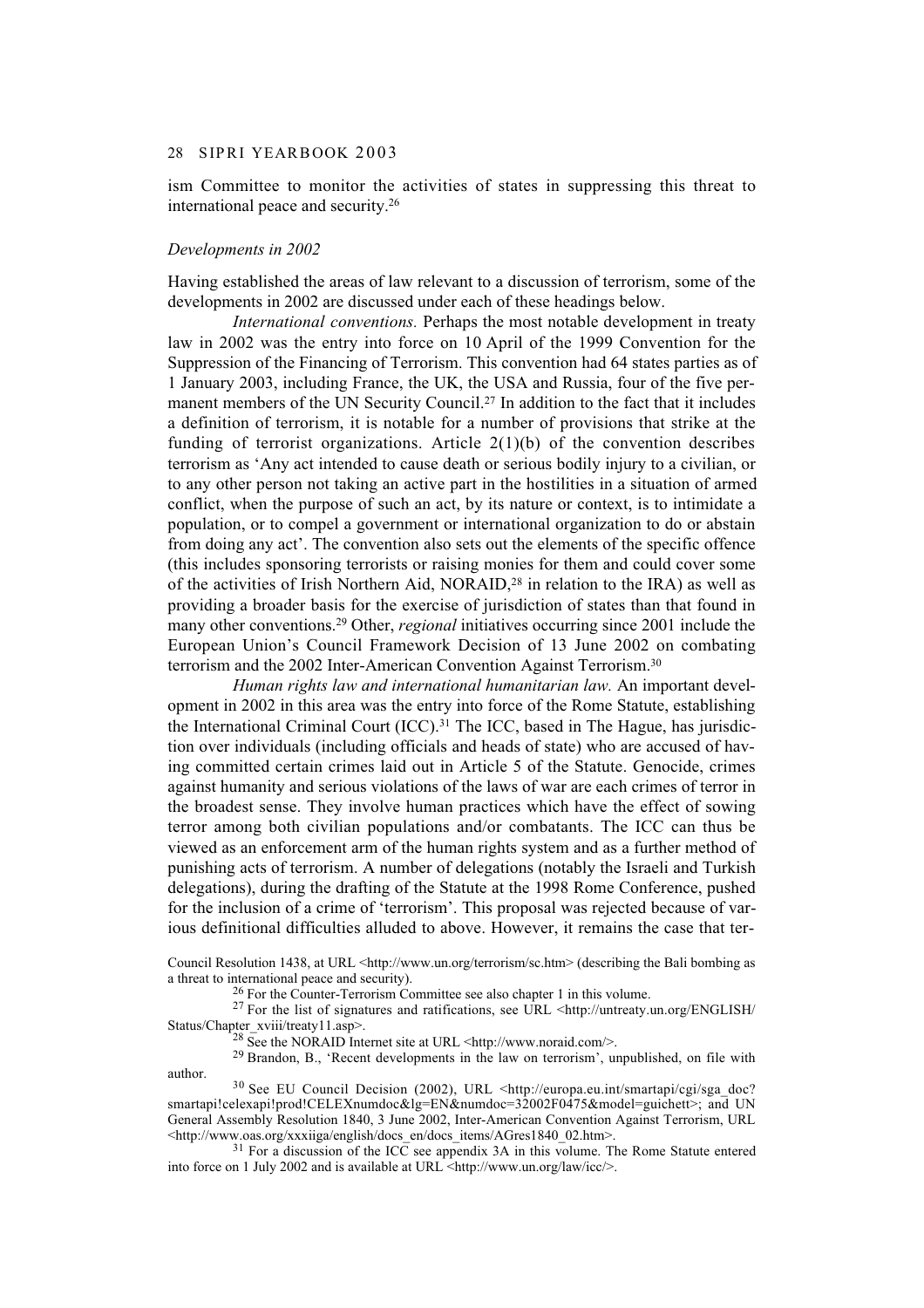#### 28 S IP RI YEARBOOK 2003

ism Committee to monitor the activities of states in suppressing this threat to international peace and security.26

## *Developments in 2002*

Having established the areas of law relevant to a discussion of terrorism, some of the developments in 2002 are discussed under each of these headings below.

*International conventions.* Perhaps the most notable development in treaty law in 2002 was the entry into force on 10 April of the 1999 Convention for the Suppression of the Financing of Terrorism. This convention had 64 states parties as of 1 January 2003, including France, the UK, the USA and Russia, four of the five permanent members of the UN Security Council.27 In addition to the fact that it includes a definition of terrorism, it is notable for a number of provisions that strike at the funding of terrorist organizations. Article  $2(1)(b)$  of the convention describes terrorism as 'Any act intended to cause death or serious bodily injury to a civilian, or to any other person not taking an active part in the hostilities in a situation of armed conflict, when the purpose of such an act, by its nature or context, is to intimidate a population, or to compel a government or international organization to do or abstain from doing any act'. The convention also sets out the elements of the specific offence (this includes sponsoring terrorists or raising monies for them and could cover some of the activities of Irish Northern Aid, NORAID,28 in relation to the IRA) as well as providing a broader basis for the exercise of jurisdiction of states than that found in many other conventions.29 Other, *regional* initiatives occurring since 2001 include the European Union's Council Framework Decision of 13 June 2002 on combating terrorism and the 2002 Inter-American Convention Against Terrorism.30

*Human rights law and international humanitarian law.* An important development in 2002 in this area was the entry into force of the Rome Statute, establishing the International Criminal Court  $(ICC)$ .<sup>31</sup> The ICC, based in The Hague, has jurisdiction over individuals (including officials and heads of state) who are accused of having committed certain crimes laid out in Article 5 of the Statute. Genocide, crimes against humanity and serious violations of the laws of war are each crimes of terror in the broadest sense. They involve human practices which have the effect of sowing terror among both civilian populations and/or combatants. The ICC can thus be viewed as an enforcement arm of the human rights system and as a further method of punishing acts of terrorism. A number of delegations (notably the Israeli and Turkish delegations), during the drafting of the Statute at the 1998 Rome Conference, pushed for the inclusion of a crime of 'terrorism'. This proposal was rejected because of various definitional difficulties alluded to above. However, it remains the case that ter-

Council Resolution 1438, at URL <http://www.un.org/terrorism/sc.htm> (describing the Bali bombing as a threat to international peace and security).

26 For the Counter-Terrorism Committee see also chapter 1 in this volume.

<sup>27</sup> For the list of signatures and ratifications, see URL <http://untreaty.un.org/ENGLISH/ Status/Chapter\_xviii/treaty11.asp>.

<sup>28</sup> See the NORAID Internet site at URL <http://www.noraid.com/>.

29 Brandon, B., 'Recent developments in the law on terrorism', unpublished, on file with author.

30 See EU Council Decision (2002), URL <http://europa.eu.int/smartapi/cgi/sga\_doc? smartapi!celexapi!prod!CELEXnumdoc&lg=EN&numdoc=32002F0475&model=guichett>; and UN General Assembly Resolution 1840, 3 June 2002, Inter-American Convention Against Terrorism, URL <http://www.oas.org/xxxiiga/english/docs\_en/docs\_items/AGres1840\_02.htm>.

 $31$  For a discussion of the ICC see appendix 3A in this volume. The Rome Statute entered into force on 1 July 2002 and is available at URL <http://www.un.org/law/icc/>.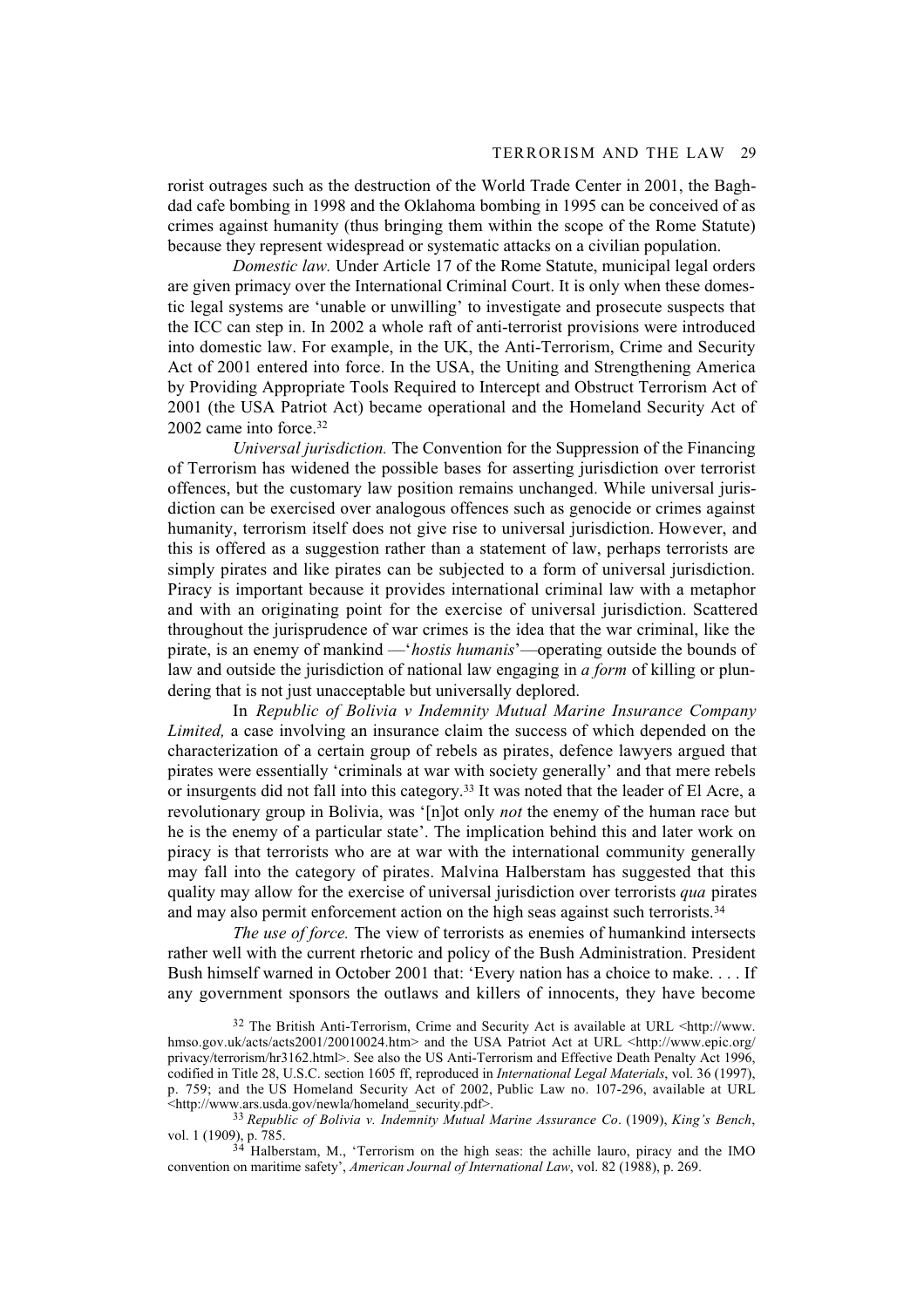rorist outrages such as the destruction of the World Trade Center in 2001, the Baghdad cafe bombing in 1998 and the Oklahoma bombing in 1995 can be conceived of as crimes against humanity (thus bringing them within the scope of the Rome Statute) because they represent widespread or systematic attacks on a civilian population.

*Domestic law.* Under Article 17 of the Rome Statute, municipal legal orders are given primacy over the International Criminal Court. It is only when these domestic legal systems are 'unable or unwilling' to investigate and prosecute suspects that the ICC can step in. In 2002 a whole raft of anti-terrorist provisions were introduced into domestic law. For example, in the UK, the Anti-Terrorism, Crime and Security Act of 2001 entered into force. In the USA, the Uniting and Strengthening America by Providing Appropriate Tools Required to Intercept and Obstruct Terrorism Act of 2001 (the USA Patriot Act) became operational and the Homeland Security Act of 2002 came into force.32

*Universal jurisdiction.* The Convention for the Suppression of the Financing of Terrorism has widened the possible bases for asserting jurisdiction over terrorist offences, but the customary law position remains unchanged. While universal jurisdiction can be exercised over analogous offences such as genocide or crimes against humanity, terrorism itself does not give rise to universal jurisdiction. However, and this is offered as a suggestion rather than a statement of law, perhaps terrorists are simply pirates and like pirates can be subjected to a form of universal jurisdiction. Piracy is important because it provides international criminal law with a metaphor and with an originating point for the exercise of universal jurisdiction. Scattered throughout the jurisprudence of war crimes is the idea that the war criminal, like the pirate, is an enemy of mankind —'*hostis humanis*'—operating outside the bounds of law and outside the jurisdiction of national law engaging in *a form* of killing or plundering that is not just unacceptable but universally deplored.

In *Republic of Bolivia v Indemnity Mutual Marine Insurance Company Limited,* a case involving an insurance claim the success of which depended on the characterization of a certain group of rebels as pirates, defence lawyers argued that pirates were essentially 'criminals at war with society generally' and that mere rebels or insurgents did not fall into this category.33 It was noted that the leader of El Acre, a revolutionary group in Bolivia, was '[n]ot only *not* the enemy of the human race but he is the enemy of a particular state'. The implication behind this and later work on piracy is that terrorists who are at war with the international community generally may fall into the category of pirates. Malvina Halberstam has suggested that this quality may allow for the exercise of universal jurisdiction over terrorists *qua* pirates and may also permit enforcement action on the high seas against such terrorists.<sup>34</sup>

*The use of force.* The view of terrorists as enemies of humankind intersects rather well with the current rhetoric and policy of the Bush Administration. President Bush himself warned in October 2001 that: 'Every nation has a choice to make. . . . If any government sponsors the outlaws and killers of innocents, they have become

<sup>32</sup> The British Anti-Terrorism, Crime and Security Act is available at URL <http://www. hmso.gov.uk/acts/acts2001/20010024.htm> and the USA Patriot Act at URL <http://www.epic.org/ privacy/terrorism/hr3162.html>. See also the US Anti-Terrorism and Effective Death Penalty Act 1996, codified in Title 28, U.S.C. section 1605 ff, reproduced in *International Legal Materials*, vol. 36 (1997), p. 759; and the US Homeland Security Act of 2002, Public Law no. 107-296, available at URL <http://www.ars.usda.gov/newla/homeland\_security.pdf>.

<sup>33</sup>*Republic of Bolivia v. Indemnity Mutual Marine Assurance Co*. (1909), *King's Bench*, vol. 1 (1909), p. 785.

 $34$  Halberstam, M., 'Terrorism on the high seas: the achille lauro, piracy and the IMO convention on maritime safety', *American Journal of International Law*, vol. 82 (1988), p. 269.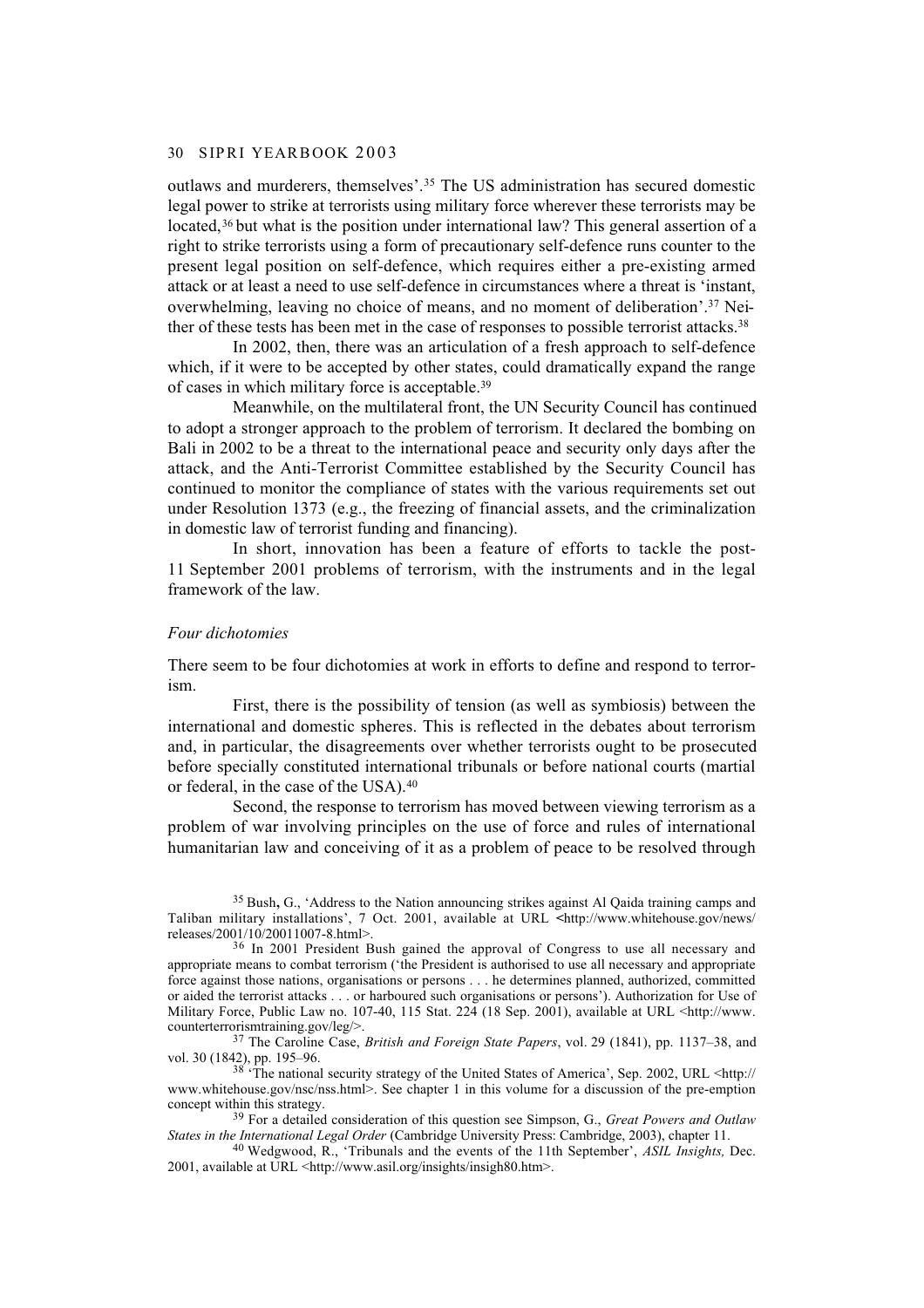#### 30 S IP RI YEARBOOK 2003

outlaws and murderers, themselves'.35 The US administration has secured domestic legal power to strike at terrorists using military force wherever these terrorists may be located,<sup>36</sup> but what is the position under international law? This general assertion of a right to strike terrorists using a form of precautionary self-defence runs counter to the present legal position on self-defence, which requires either a pre-existing armed attack or at least a need to use self-defence in circumstances where a threat is 'instant, overwhelming, leaving no choice of means, and no moment of deliberation'.37 Neither of these tests has been met in the case of responses to possible terrorist attacks.38

In 2002, then, there was an articulation of a fresh approach to self-defence which, if it were to be accepted by other states, could dramatically expand the range of cases in which military force is acceptable.39

Meanwhile, on the multilateral front, the UN Security Council has continued to adopt a stronger approach to the problem of terrorism. It declared the bombing on Bali in 2002 to be a threat to the international peace and security only days after the attack, and the Anti-Terrorist Committee established by the Security Council has continued to monitor the compliance of states with the various requirements set out under Resolution 1373 (e.g., the freezing of financial assets, and the criminalization in domestic law of terrorist funding and financing).

In short, innovation has been a feature of efforts to tackle the post-11 September 2001 problems of terrorism, with the instruments and in the legal framework of the law.

#### *Four dichotomies*

There seem to be four dichotomies at work in efforts to define and respond to terrorism.

First, there is the possibility of tension (as well as symbiosis) between the international and domestic spheres. This is reflected in the debates about terrorism and, in particular, the disagreements over whether terrorists ought to be prosecuted before specially constituted international tribunals or before national courts (martial or federal, in the case of the USA).40

Second, the response to terrorism has moved between viewing terrorism as a problem of war involving principles on the use of force and rules of international humanitarian law and conceiving of it as a problem of peace to be resolved through

<sup>38</sup> The national security strategy of the United States of America', Sep. 2002, URL <http:// www.whitehouse.gov/nsc/nss.html>. See chapter 1 in this volume for a discussion of the pre-emption concept within this strategy.

<sup>39</sup> For a detailed consideration of this question see Simpson, G., *Great Powers and Outlaw States in the International Legal Order* (Cambridge University Press: Cambridge, 2003), chapter 11.

40 Wedgwood, R., 'Tribunals and the events of the 11th September', *ASIL Insights,* Dec. 2001, available at URL <http://www.asil.org/insights/insigh80.htm>.

<sup>35</sup> Bush**,** G., 'Address to the Nation announcing strikes against Al Qaida training camps and Taliban military installations', 7 Oct. 2001, available at URL **<**http://www.whitehouse.gov/news/ releases/2001/10/20011007-8.html>.

<sup>&</sup>lt;sup>36</sup> In 2001 President Bush gained the approval of Congress to use all necessary and appropriate means to combat terrorism ('the President is authorised to use all necessary and appropriate force against those nations, organisations or persons . . . he determines planned, authorized, committed or aided the terrorist attacks . . . or harboured such organisations or persons'). Authorization for Use of Military Force, Public Law no. 107-40, 115 Stat. 224 (18 Sep. 2001), available at URL <http://www. counterterrorismtraining.gov/leg/>.

<sup>37</sup> The Caroline Case, *British and Foreign State Papers*, vol. 29 (1841), pp. 1137–38, and vol. 30 (1842), pp. 195–96.